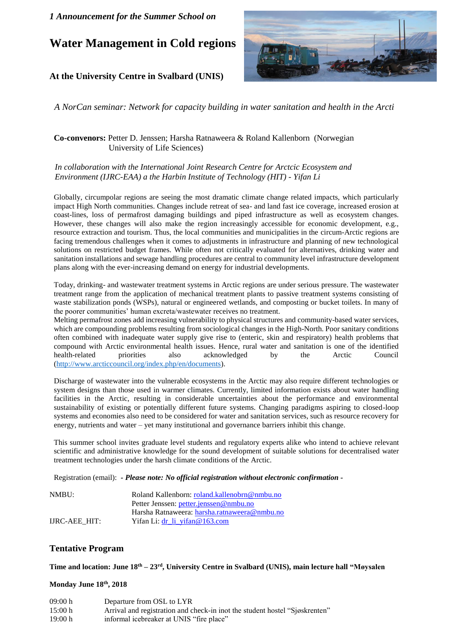# **Water Management in Cold regions**

# **At the University Centre in Svalbard (UNIS)**



*A NorCan seminar: Network for capacity building in water sanitation and health in the Arcti*

### **Co-convenors:** Petter D. Jenssen; Harsha Ratnaweera & Roland Kallenborn (Norwegian University of Life Sciences)

#### *In collaboration with the International Joint Research Centre for Arctcic Ecosystem and Environment (IJRC-EAA) a the Harbin Institute of Technology (HIT) - Yifan Li*

Globally, circumpolar regions are seeing the most dramatic climate change related impacts, which particularly impact High North communities. Changes include retreat of sea- and land fast ice coverage, increased erosion at coast-lines, loss of permafrost damaging buildings and piped infrastructure as well as ecosystem changes. However, these changes will also make the region increasingly accessible for economic development, e.g., resource extraction and tourism. Thus, the local communities and municipalities in the circum-Arctic regions are facing tremendous challenges when it comes to adjustments in infrastructure and planning of new technological solutions on restricted budget frames. While often not critically evaluated for alternatives, drinking water and sanitation installations and sewage handling procedures are central to community level infrastructure development plans along with the ever-increasing demand on energy for industrial developments.

Today, drinking- and wastewater treatment systems in Arctic regions are under serious pressure. The wastewater treatment range from the application of mechanical treatment plants to passive treatment systems consisting of waste stabilization ponds (WSPs), natural or engineered wetlands, and composting or bucket toilets. In many of the poorer communities' human excreta/wastewater receives no treatment.

Melting permafrost zones add increasing vulnerability to physical structures and community-based water services, which are compounding problems resulting from sociological changes in the High-North. Poor sanitary conditions often combined with inadequate water supply give rise to (enteric, skin and respiratory) health problems that compound with Arctic environmental health issues. Hence, rural water and sanitation is one of the identified health-related priorities also acknowledged by the Arctic Council [\(http://www.arcticcouncil.org/index.php/en/documents\)](http://www.arcticcouncil.org/index.php/en/documents).

Discharge of wastewater into the vulnerable ecosystems in the Arctic may also require different technologies or system designs than those used in warmer climates. Currently, limited information exists about water handling facilities in the Arctic, resulting in considerable uncertainties about the performance and environmental sustainability of existing or potentially different future systems. Changing paradigms aspiring to closed-loop systems and economies also need to be considered for water and sanitation services, such as resource recovery for energy, nutrients and water – yet many institutional and governance barriers inhibit this change.

This summer school invites graduate level students and regulatory experts alike who intend to achieve relevant scientific and administrative knowledge for the sound development of suitable solutions for decentralised water treatment technologies under the harsh climate conditions of the Arctic.

Registration (email): *- Please note: No official registration without electronic confirmation -*

| NMBU:                | Roland Kallenborn: roland.kallenobrn@nmbu.no |
|----------------------|----------------------------------------------|
|                      | Petter Jenssen: petter.jenssen@nmbu.no       |
|                      | Harsha Ratnaweera: harsha.ratnaweera@nmbu.no |
| <b>IJRC-AEE HIT:</b> | Yifan Li: dr li vifan @ $163$ .com           |

### **Tentative Program**

**Time and location: June 18 th – 23rd, University Centre in Svalbard (UNIS), main lecture hall "Møysalen**

#### **Monday June 18th, 2018**

| 09:00 h | Departure from OSL to LYR                                                   |
|---------|-----------------------------------------------------------------------------|
| 15:00 h | Arrival and registration and check-in inot the student hostel "Sjøskrenten" |
| 19:00h  | informal icebreaker at UNIS "fire place"                                    |